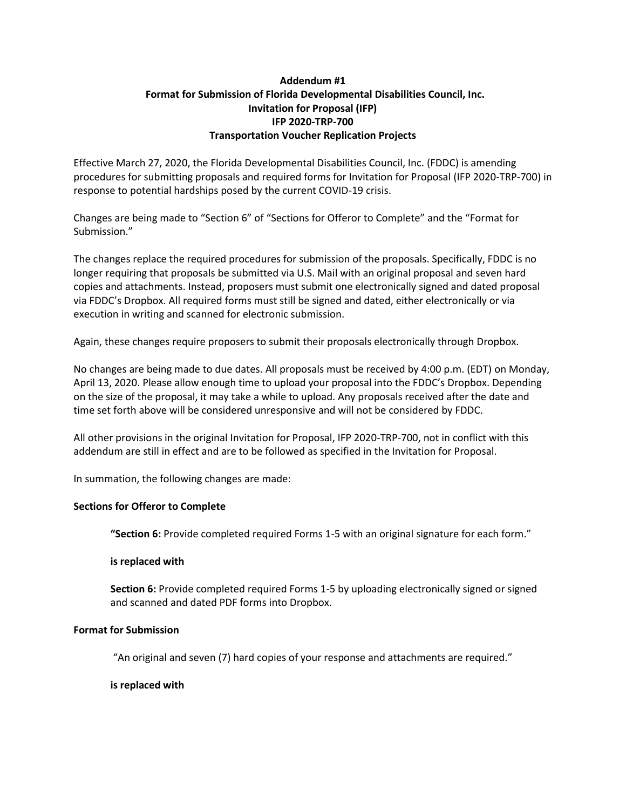# **Addendum #1 Format for Submission of Florida Developmental Disabilities Council, Inc. Invitation for Proposal (IFP) IFP 2020-TRP-700 Transportation Voucher Replication Projects**

Effective March 27, 2020, the Florida Developmental Disabilities Council, Inc. (FDDC) is amending procedures for submitting proposals and required forms for Invitation for Proposal (IFP 2020-TRP-700) in response to potential hardships posed by the current COVID-19 crisis.

Changes are being made to "Section 6" of "Sections for Offeror to Complete" and the "Format for Submission."

The changes replace the required procedures for submission of the proposals. Specifically, FDDC is no longer requiring that proposals be submitted via U.S. Mail with an original proposal and seven hard copies and attachments. Instead, proposers must submit one electronically signed and dated proposal via FDDC's Dropbox. All required forms must still be signed and dated, either electronically or via execution in writing and scanned for electronic submission.

Again, these changes require proposers to submit their proposals electronically through Dropbox.

No changes are being made to due dates. All proposals must be received by 4:00 p.m. (EDT) on Monday, April 13, 2020. Please allow enough time to upload your proposal into the FDDC's Dropbox. Depending on the size of the proposal, it may take a while to upload. Any proposals received after the date and time set forth above will be considered unresponsive and will not be considered by FDDC.

All other provisions in the original Invitation for Proposal, IFP 2020-TRP-700, not in conflict with this addendum are still in effect and are to be followed as specified in the Invitation for Proposal.

In summation, the following changes are made:

### **Sections for Offeror to Complete**

**"Section 6:** Provide completed required Forms 1-5 with an original signature for each form."

#### **is replaced with**

**Section 6:** Provide completed required Forms 1-5 by uploading electronically signed or signed and scanned and dated PDF forms into Dropbox.

### **Format for Submission**

"An original and seven (7) hard copies of your response and attachments are required."

#### **is replaced with**